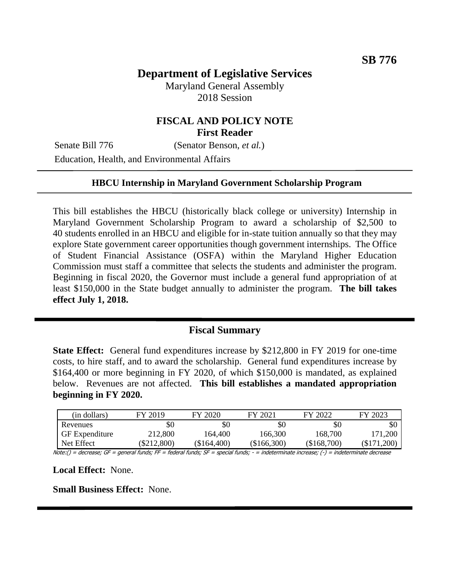# **Department of Legislative Services**

Maryland General Assembly 2018 Session

## **FISCAL AND POLICY NOTE First Reader**

Senate Bill 776 (Senator Benson, *et al.*)

Education, Health, and Environmental Affairs

#### **HBCU Internship in Maryland Government Scholarship Program**

This bill establishes the HBCU (historically black college or university) Internship in Maryland Government Scholarship Program to award a scholarship of \$2,500 to 40 students enrolled in an HBCU and eligible for in-state tuition annually so that they may explore State government career opportunities though government internships. The Office of Student Financial Assistance (OSFA) within the Maryland Higher Education Commission must staff a committee that selects the students and administer the program. Beginning in fiscal 2020, the Governor must include a general fund appropriation of at least \$150,000 in the State budget annually to administer the program. **The bill takes effect July 1, 2018.**

### **Fiscal Summary**

**State Effect:** General fund expenditures increase by \$212,800 in FY 2019 for one-time costs, to hire staff, and to award the scholarship. General fund expenditures increase by \$164,400 or more beginning in FY 2020, of which \$150,000 is mandated, as explained below. Revenues are not affected. **This bill establishes a mandated appropriation beginning in FY 2020.**

| (in dollars)          | FY 2019     | FY 2020       | FY 2021       | FY 2022       | FY 2023    |
|-----------------------|-------------|---------------|---------------|---------------|------------|
| Revenues              | \$0         | \$0           | \$0           | \$0           |            |
| <b>GF</b> Expenditure | 212,800     | 164,400       | 166,300       | 168,700       | 171,200    |
| Net Effect            | (\$212,800) | $(\$164,400)$ | $(\$166,300)$ | $(\$168,700)$ | (\$171.200 |

Note:() = decrease; GF = general funds; FF = federal funds; SF = special funds; - = indeterminate increase; (-) = indeterminate decrease

**Local Effect:** None.

**Small Business Effect:** None.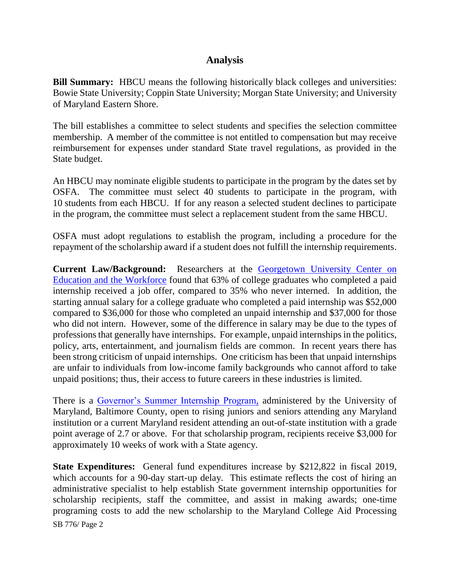## **Analysis**

**Bill Summary:** HBCU means the following historically black colleges and universities: Bowie State University; Coppin State University; Morgan State University; and University of Maryland Eastern Shore.

The bill establishes a committee to select students and specifies the selection committee membership. A member of the committee is not entitled to compensation but may receive reimbursement for expenses under standard State travel regulations, as provided in the State budget.

An HBCU may nominate eligible students to participate in the program by the dates set by OSFA. The committee must select 40 students to participate in the program, with 10 students from each HBCU. If for any reason a selected student declines to participate in the program, the committee must select a replacement student from the same HBCU.

OSFA must adopt regulations to establish the program, including a procedure for the repayment of the scholarship award if a student does not fulfill the internship requirements.

**Current Law/Background:** Researchers at the [Georgetown University Center on](https://cew.georgetown.edu/wp-content/uploads/Working-Learners-Report.pdf)  [Education and the Workforce](https://cew.georgetown.edu/wp-content/uploads/Working-Learners-Report.pdf) found that 63% of college graduates who completed a paid internship received a job offer, compared to 35% who never interned. In addition, the starting annual salary for a college graduate who completed a paid internship was \$52,000 compared to \$36,000 for those who completed an unpaid internship and \$37,000 for those who did not intern. However, some of the difference in salary may be due to the types of professions that generally have internships. For example, unpaid internships in the politics, policy, arts, entertainment, and journalism fields are common. In recent years there has been strong criticism of unpaid internships. One criticism has been that unpaid internships are unfair to individuals from low-income family backgrounds who cannot afford to take unpaid positions; thus, their access to future careers in these industries is limited.

There is a [Governor's Summer Internship Program,](https://publicservicescholars.umbc.edu/gsip/) administered by the University of Maryland, Baltimore County, open to rising juniors and seniors attending any Maryland institution or a current Maryland resident attending an out-of-state institution with a grade point average of 2.7 or above. For that scholarship program, recipients receive \$3,000 for approximately 10 weeks of work with a State agency.

SB 776/ Page 2 **State Expenditures:** General fund expenditures increase by \$212,822 in fiscal 2019, which accounts for a 90-day start-up delay. This estimate reflects the cost of hiring an administrative specialist to help establish State government internship opportunities for scholarship recipients, staff the committee, and assist in making awards; one-time programing costs to add the new scholarship to the Maryland College Aid Processing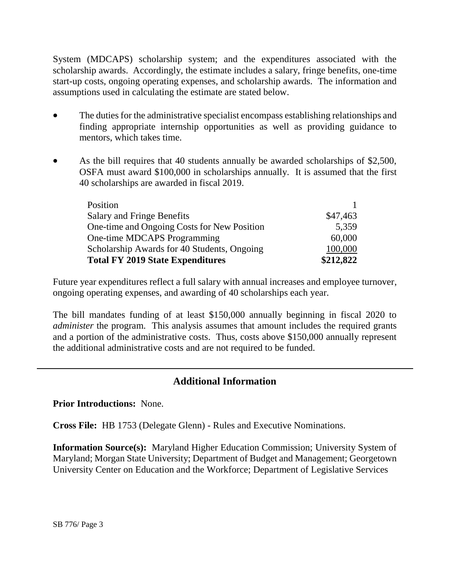System (MDCAPS) scholarship system; and the expenditures associated with the scholarship awards. Accordingly, the estimate includes a salary, fringe benefits, one-time start-up costs, ongoing operating expenses, and scholarship awards. The information and assumptions used in calculating the estimate are stated below.

- The duties for the administrative specialist encompass establishing relationships and finding appropriate internship opportunities as well as providing guidance to mentors, which takes time.
- As the bill requires that 40 students annually be awarded scholarships of \$2,500, OSFA must award \$100,000 in scholarships annually. It is assumed that the first 40 scholarships are awarded in fiscal 2019.

| Position                                    |           |
|---------------------------------------------|-----------|
| <b>Salary and Fringe Benefits</b>           | \$47,463  |
| One-time and Ongoing Costs for New Position | 5,359     |
| One-time MDCAPS Programming                 | 60,000    |
| Scholarship Awards for 40 Students, Ongoing | 100,000   |
| <b>Total FY 2019 State Expenditures</b>     | \$212,822 |

Future year expenditures reflect a full salary with annual increases and employee turnover, ongoing operating expenses, and awarding of 40 scholarships each year.

The bill mandates funding of at least \$150,000 annually beginning in fiscal 2020 to *administer* the program. This analysis assumes that amount includes the required grants and a portion of the administrative costs. Thus, costs above \$150,000 annually represent the additional administrative costs and are not required to be funded.

# **Additional Information**

**Prior Introductions:** None.

**Cross File:** HB 1753 (Delegate Glenn) - Rules and Executive Nominations.

**Information Source(s):** Maryland Higher Education Commission; University System of Maryland; Morgan State University; Department of Budget and Management; Georgetown University Center on Education and the Workforce; Department of Legislative Services